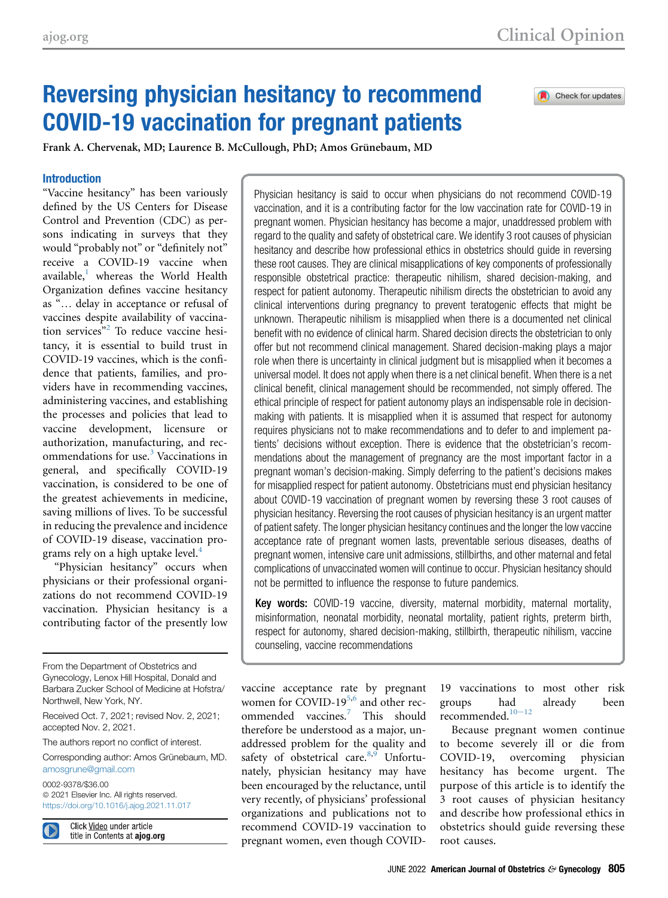# Reversing physician hesitancy to recommend COVID-19 vaccination for pregnant patients

Check for updates

Frank A. Chervenak, MD; Laurence B. McCullough, PhD; Amos Grünebaum, MD

## Introduction

"Vaccine hesitancy" has been variously defined by the US Centers for Disease Control and Prevention (CDC) as persons indicating in surveys that they would "probably not" or "definitely not" receive a COVID-19 vaccine when available, $<sup>1</sup>$  $<sup>1</sup>$  $<sup>1</sup>$  whereas the World Health</sup> Organization defines vaccine hesitancy as "... delay in acceptance or refusal of vaccines despite availability of vaccination services" [2](#page-5-1) To reduce vaccine hesitancy, it is essential to build trust in COVID-19 vaccines, which is the confidence that patients, families, and providers have in recommending vaccines, administering vaccines, and establishing the processes and policies that lead to vaccine development, licensure or authorization, manufacturing, and rec-ommendations for use.<sup>[3](#page-5-2)</sup> Vaccinations in general, and specifically COVID-19 vaccination, is considered to be one of the greatest achievements in medicine, saving millions of lives. To be successful in reducing the prevalence and incidence of COVID-19 disease, vaccination pro-grams rely on a high uptake level.<sup>[4](#page-5-3)</sup>

"Physician hesitancy" occurs when physicians or their professional organizations do not recommend COVID-19 vaccination. Physician hesitancy is a contributing factor of the presently low

From the Department of Obstetrics and Gynecology, Lenox Hill Hospital, Donald and Barbara Zucker School of Medicine at Hofstra/ Northwell, New York, NY.

Received Oct. 7, 2021; revised Nov. 2, 2021; accepted Nov. 2, 2021.

The authors report no conflict of interest.

Corresponding author: Amos Grünebaum, MD. [amosgrune@gmail.com](mailto:amosgrune@gmail.com)

0002-9378/\$36.00  $©$  2021 Elsevier Inc. All rights reserved. <https://doi.org/10.1016/j.ajog.2021.11.017>

Click Video under article title in Contents at ajog.org Physician hesitancy is said to occur when physicians do not recommend COVID-19 vaccination, and it is a contributing factor for the low vaccination rate for COVID-19 in pregnant women. Physician hesitancy has become a major, unaddressed problem with regard to the quality and safety of obstetrical care. We identify 3 root causes of physician hesitancy and describe how professional ethics in obstetrics should guide in reversing these root causes. They are clinical misapplications of key components of professionally responsible obstetrical practice: therapeutic nihilism, shared decision-making, and respect for patient autonomy. Therapeutic nihilism directs the obstetrician to avoid any clinical interventions during pregnancy to prevent teratogenic effects that might be unknown. Therapeutic nihilism is misapplied when there is a documented net clinical benefit with no evidence of clinical harm. Shared decision directs the obstetrician to only offer but not recommend clinical management. Shared decision-making plays a major role when there is uncertainty in clinical judgment but is misapplied when it becomes a universal model. It does not apply when there is a net clinical benefit. When there is a net clinical benefit, clinical management should be recommended, not simply offered. The ethical principle of respect for patient autonomy plays an indispensable role in decisionmaking with patients. It is misapplied when it is assumed that respect for autonomy requires physicians not to make recommendations and to defer to and implement patients' decisions without exception. There is evidence that the obstetrician's recommendations about the management of pregnancy are the most important factor in a pregnant woman's decision-making. Simply deferring to the patient's decisions makes for misapplied respect for patient autonomy. Obstetricians must end physician hesitancy about COVID-19 vaccination of pregnant women by reversing these 3 root causes of physician hesitancy. Reversing the root causes of physician hesitancy is an urgent matter of patient safety. The longer physician hesitancy continues and the longer the low vaccine acceptance rate of pregnant women lasts, preventable serious diseases, deaths of pregnant women, intensive care unit admissions, stillbirths, and other maternal and fetal complications of unvaccinated women will continue to occur. Physician hesitancy should not be permitted to influence the response to future pandemics.

Key words: COVID-19 vaccine, diversity, maternal morbidity, maternal mortality, misinformation, neonatal morbidity, neonatal mortality, patient rights, preterm birth, respect for autonomy, shared decision-making, stillbirth, therapeutic nihilism, vaccine counseling, vaccine recommendations

vaccine acceptance rate by pregnant women for COVID-19<sup>[5](#page-5-4)[,6](#page-5-5)</sup> and other recommended vaccines.[7](#page-5-6) This should therefore be understood as a major, unaddressed problem for the quality and safety of obstetrical care. $8,9$  $8,9$  $8,9$  Unfortunately, physician hesitancy may have been encouraged by the reluctance, until very recently, of physicians' professional organizations and publications not to recommend COVID-19 vaccination to pregnant women, even though COVID-

19 vaccinations to most other risk groups h[ad](#page-5-9) already been recommended. $10-12$ 

Because pregnant women continue to become severely ill or die from COVID-19, overcoming physician hesitancy has become urgent. The purpose of this article is to identify the 3 root causes of physician hesitancy and describe how professional ethics in obstetrics should guide reversing these root causes.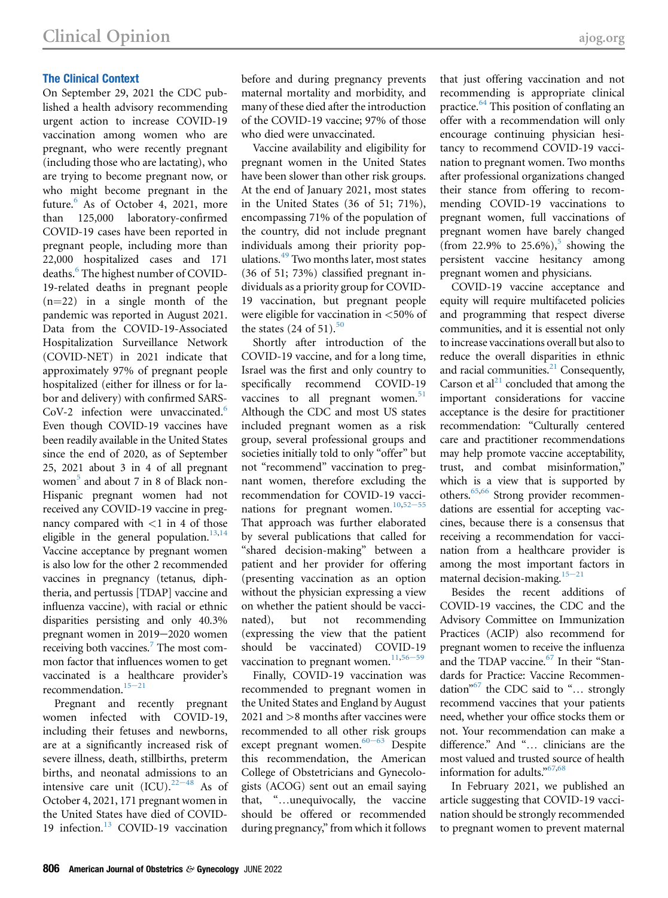# The Clinical Context

On September 29, 2021 the CDC published a health advisory recommending urgent action to increase COVID-19 vaccination among women who are pregnant, who were recently pregnant (including those who are lactating), who are trying to become pregnant now, or who might become pregnant in the future. $6$  As of October 4, 2021, more than 125,000 laboratory-confirmed COVID-19 cases have been reported in pregnant people, including more than 22,000 hospitalized cases and 171 deaths.<sup>[6](#page-5-5)</sup> The highest number of COVID-19-related deaths in pregnant people  $(n=22)$  in a single month of the pandemic was reported in August 2021. Data from the COVID-19-Associated Hospitalization Surveillance Network (COVID-NET) in 2021 indicate that approximately 97% of pregnant people hospitalized (either for illness or for labor and delivery) with confirmed SARS-CoV-2 infection were unvaccinated.<sup>[6](#page-5-5)</sup> Even though COVID-19 vaccines have been readily available in the United States since the end of 2020, as of September 25, 2021 about 3 in 4 of all pregnant women $<sup>5</sup>$  $<sup>5</sup>$  $<sup>5</sup>$  and about 7 in 8 of Black non-</sup> Hispanic pregnant women had not received any COVID-19 vaccine in pregnancy compared with  $\langle 1 \text{ in } 4 \text{ of those} \rangle$ eligible in the general population.<sup>[13](#page-5-10)[,14](#page-5-11)</sup> Vaccine acceptance by pregnant women is also low for the other 2 recommended vaccines in pregnancy (tetanus, diphtheria, and pertussis [TDAP] vaccine and influenza vaccine), with racial or ethnic disparities persisting and only 40.3% pregnant women in 2019-2020 women receiving both vaccines.<sup>7</sup> The most common factor that influences women to get vaccinated is a healthcare provider's recommendation. $15-21$ 

Pregnant and recently pregnant women infected with COVID-19, including their fetuses and newborns, are at a significantly increased risk of severe illness, death, stillbirths, preterm births, and neonatal admi[ssions](#page-5-13) to an intensive care unit  $(ICU).^{22-48}$  As of October 4, 2021, 171 pregnant women in the United States have died of COVID-19 infection.<sup>[13](#page-5-10)</sup> COVID-19 vaccination

before and during pregnancy prevents maternal mortality and morbidity, and many of these died after the introduction of the COVID-19 vaccine; 97% of those who died were unvaccinated.

Vaccine availability and eligibility for pregnant women in the United States have been slower than other risk groups. At the end of January 2021, most states in the United States (36 of 51; 71%), encompassing 71% of the population of the country, did not include pregnant individuals among their priority populations.[49](#page-6-0) Two months later, most states (36 of 51; 73%) classified pregnant individuals as a priority group for COVID-19 vaccination, but pregnant people were eligible for vaccination in <50% of the states  $(24$  of 51).<sup>[50](#page-6-1)</sup>

Shortly after introduction of the COVID-19 vaccine, and for a long time, Israel was the first and only country to specifically recommend COVID-19 vaccines to all pregnant women. $51$ Although the CDC and most US states included pregnant women as a risk group, several professional groups and societies initially told to only "offer" but not "recommend" vaccination to pregnant women, therefore excluding the recommendation for COVID-19 vacci-nations for pregnant women.<sup>[10,](#page-5-9)[52](#page-6-3)-55</sup> That approach was further elaborated by several publications that called for "shared decision-making" between a patient and her provider for offering (presenting vaccination as an option without the physician expressing a view on whether the patient should be vaccinated), but not recommending (expressing the view that the patient should be vaccinated) COV[ID-19](#page-6-4) vaccination to pregnant women. $11,56-59$ 

Finally, COVID-19 vaccination was recommended to pregnant women in the United States and England by August 2021 and >8 months after vaccines were recommended to all other risk groups except pregnant women. $60-63$  Despite this recommendation, the American College of Obstetricians and Gynecologists (ACOG) sent out an email saying that, "...unequivocally, the vaccine should be offered or recommended during pregnancy," from which it follows

that just offering vaccination and not recommending is appropriate clinical practice.<sup>[64](#page-6-6)</sup> This position of conflating an offer with a recommendation will only encourage continuing physician hesitancy to recommend COVID-19 vaccination to pregnant women. Two months after professional organizations changed their stance from offering to recommending COVID-19 vaccinations to pregnant women, full vaccinations of pregnant women have barely changed (from 22.9% to 2[5](#page-5-4).6%),<sup>5</sup> showing the persistent vaccine hesitancy among pregnant women and physicians.

COVID-19 vaccine acceptance and equity will require multifaceted policies and programming that respect diverse communities, and it is essential not only to increase vaccinations overall but also to reduce the overall disparities in ethnic and racial communities.<sup>21</sup> Consequently, Carson et al $^{21}$  concluded that among the important considerations for vaccine acceptance is the desire for practitioner recommendation: "Culturally centered care and practitioner recommendations may help promote vaccine acceptability, trust, and combat misinformation," which is a view that is supported by others[.65](#page-6-7),[66](#page-6-8) Strong provider recommendations are essential for accepting vaccines, because there is a consensus that receiving a recommendation for vaccination from a healthcare provider is among the most important factors in maternal decision-making. $15-21$ 

Besides the recent additions of COVID-19 vaccines, the CDC and the Advisory Committee on Immunization Practices (ACIP) also recommend for pregnant women to receive the influenza and the TDAP vaccine.<sup>67</sup> In their "Standards for Practice: Vaccine Recommen-dation"<sup>[67](#page-7-0)</sup> the CDC said to "... strongly recommend vaccines that your patients need, whether your office stocks them or not. Your recommendation can make a difference." And "... clinicians are the most valued and trusted source of health information for adults." [67](#page-7-0)[,68](#page-7-1)

In February 2021, we published an article suggesting that COVID-19 vaccination should be strongly recommended to pregnant women to prevent maternal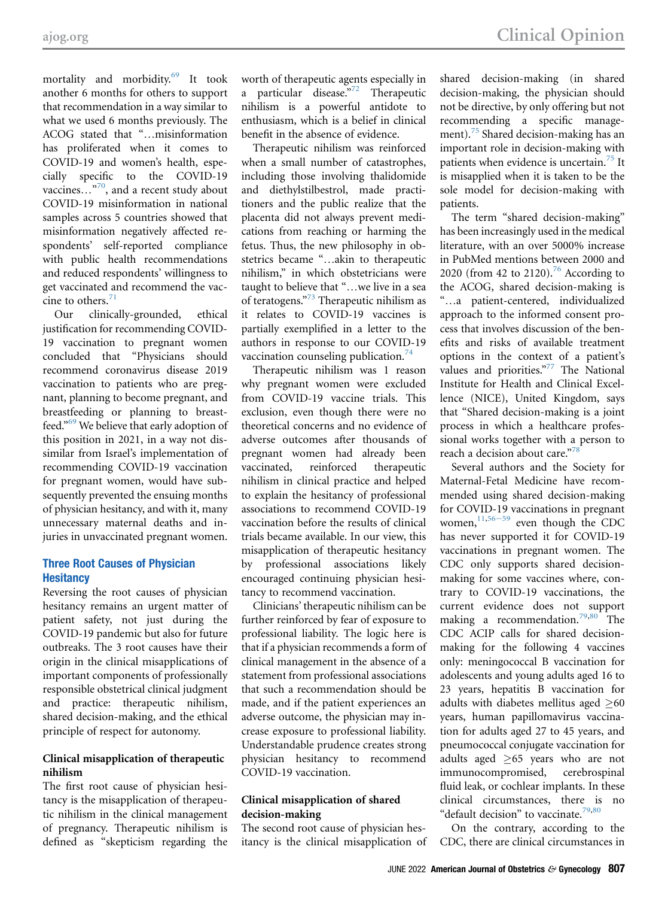mortality and morbidity.<sup>[69](#page-7-2)</sup> It took another 6 months for others to support that recommendation in a way similar to what we used 6 months previously. The ACOG stated that "...misinformation has proliferated when it comes to COVID-19 and women's health, especially specific to the COVID-19 vaccines...<sup>"70</sup>, and a recent study about COVID-19 misinformation in national samples across 5 countries showed that misinformation negatively affected respondents' self-reported compliance with public health recommendations and reduced respondents' willingness to get vaccinated and recommend the vaccine to others. $71$ 

Our clinically-grounded, ethical justification for recommending COVID-19 vaccination to pregnant women concluded that "Physicians should recommend coronavirus disease 2019 vaccination to patients who are pregnant, planning to become pregnant, and breastfeeding or planning to breastfeed." [69](#page-7-2) We believe that early adoption of this position in 2021, in a way not dissimilar from Israel's implementation of recommending COVID-19 vaccination for pregnant women, would have subsequently prevented the ensuing months of physician hesitancy, and with it, many unnecessary maternal deaths and injuries in unvaccinated pregnant women.

# Three Root Causes of Physician **Hesitancy**

Reversing the root causes of physician hesitancy remains an urgent matter of patient safety, not just during the COVID-19 pandemic but also for future outbreaks. The 3 root causes have their origin in the clinical misapplications of important components of professionally responsible obstetrical clinical judgment and practice: therapeutic nihilism, shared decision-making, and the ethical principle of respect for autonomy.

# Clinical misapplication of therapeutic nihilism

The first root cause of physician hesitancy is the misapplication of therapeutic nihilism in the clinical management of pregnancy. Therapeutic nihilism is defined as "skepticism regarding the worth of therapeutic agents especially in a particular disease."<sup>[72](#page-7-5)</sup> Therapeutic nihilism is a powerful antidote to enthusiasm, which is a belief in clinical benefit in the absence of evidence.

Therapeutic nihilism was reinforced when a small number of catastrophes, including those involving thalidomide and diethylstilbestrol, made practitioners and the public realize that the placenta did not always prevent medications from reaching or harming the fetus. Thus, the new philosophy in obstetrics became "...akin to therapeutic nihilism," in which obstetricians were taught to believe that "...we live in a sea of teratogens."<sup>[73](#page-7-6)</sup> Therapeutic nihilism as it relates to COVID-19 vaccines is partially exemplified in a letter to the authors in response to our COVID-19 vaccination counseling publication. $74$ 

Therapeutic nihilism was 1 reason why pregnant women were excluded from COVID-19 vaccine trials. This exclusion, even though there were no theoretical concerns and no evidence of adverse outcomes after thousands of pregnant women had already been vaccinated, reinforced therapeutic nihilism in clinical practice and helped to explain the hesitancy of professional associations to recommend COVID-19 vaccination before the results of clinical trials became available. In our view, this misapplication of therapeutic hesitancy by professional associations likely encouraged continuing physician hesitancy to recommend vaccination.

Clinicians' therapeutic nihilism can be further reinforced by fear of exposure to professional liability. The logic here is that if a physician recommends a form of clinical management in the absence of a statement from professional associations that such a recommendation should be made, and if the patient experiences an adverse outcome, the physician may increase exposure to professional liability. Understandable prudence creates strong physician hesitancy to recommend COVID-19 vaccination.

# Clinical misapplication of shared decision-making

The second root cause of physician hesitancy is the clinical misapplication of

shared decision-making (in shared decision-making, the physician should not be directive, by only offering but not recommending a specific management).<sup>75</sup> Shared decision-making has an important role in decision-making with patients when evidence is uncertain.<sup>[75](#page-7-8)</sup> It is misapplied when it is taken to be the sole model for decision-making with patients.

The term "shared decision-making" has been increasingly used in the medical literature, with an over 5000% increase in PubMed mentions between 2000 and 2020 (from 42 to 2120).<sup>[76](#page-7-9)</sup> According to the ACOG, shared decision-making is "...a patient-centered, individualized approach to the informed consent process that involves discussion of the benefits and risks of available treatment options in the context of a patient's values and priorities." [77](#page-7-10) The National Institute for Health and Clinical Excellence (NICE), United Kingdom, says that "Shared decision-making is a joint process in which a healthcare professional works together with a person to reach a decision about care."<sup>[78](#page-7-11)</sup>

Several authors and the Society for Maternal-Fetal Medicine have recommended using shared decision-making for COVID-19 vaccinations in pregnant women, $11,56-59$  $11,56-59$  $11,56-59$  even though the CDC has never supported it for COVID-19 vaccinations in pregnant women. The CDC only supports shared decisionmaking for some vaccines where, contrary to COVID-19 vaccinations, the current evidence does not support making a recommendation.<sup>[79,](#page-7-12)[80](#page-7-13)</sup> The CDC ACIP calls for shared decisionmaking for the following 4 vaccines only: meningococcal B vaccination for adolescents and young adults aged 16 to 23 years, hepatitis B vaccination for adults with diabetes mellitus aged  $\geq 60$ years, human papillomavirus vaccination for adults aged 27 to 45 years, and pneumococcal conjugate vaccination for adults aged  $\geq$ 65 years who are not immunocompromised, cerebrospinal fluid leak, or cochlear implants. In these clinical circumstances, there is no "default decision" to vaccinate.<sup>[79](#page-7-12)[,80](#page-7-13)</sup>

On the contrary, according to the CDC, there are clinical circumstances in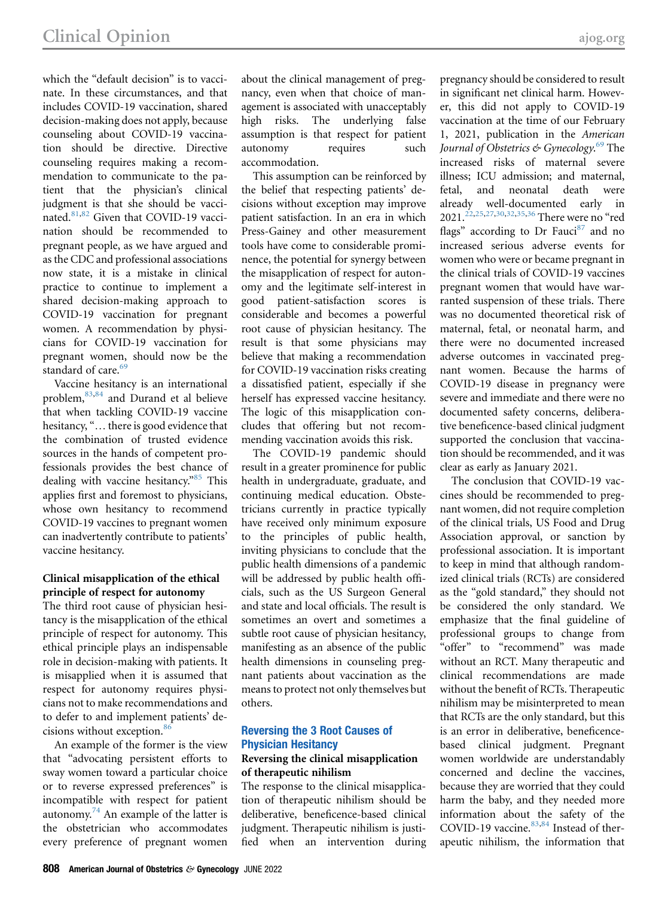which the "default decision" is to vaccinate. In these circumstances, and that includes COVID-19 vaccination, shared decision-making does not apply, because counseling about COVID-19 vaccination should be directive. Directive counseling requires making a recommendation to communicate to the patient that the physician's clinical judgment is that she should be vacci-nated.<sup>[81](#page-7-14)[,82](#page-7-15)</sup> Given that COVID-19 vaccination should be recommended to pregnant people, as we have argued and as the CDC and professional associations now state, it is a mistake in clinical practice to continue to implement a shared decision-making approach to COVID-19 vaccination for pregnant women. A recommendation by physicians for COVID-19 vaccination for pregnant women, should now be the standard of care.<sup>69</sup>

Vaccine hesitancy is an international problem,<sup>83[,84](#page-7-17)</sup> and Durand et al believe that when tackling COVID-19 vaccine hesitancy, "... there is good evidence that the combination of trusted evidence sources in the hands of competent professionals provides the best chance of dealing with vaccine hesitancy."<sup>[85](#page-7-18)</sup> This applies first and foremost to physicians, whose own hesitancy to recommend COVID-19 vaccines to pregnant women can inadvertently contribute to patients' vaccine hesitancy.

## Clinical misapplication of the ethical principle of respect for autonomy

The third root cause of physician hesitancy is the misapplication of the ethical principle of respect for autonomy. This ethical principle plays an indispensable role in decision-making with patients. It is misapplied when it is assumed that respect for autonomy requires physicians not to make recommendations and to defer to and implement patients' de-cisions without exception.<sup>[86](#page-7-19)</sup>

An example of the former is the view that "advocating persistent efforts to sway women toward a particular choice or to reverse expressed preferences" is incompatible with respect for patient autonomy.<sup>74</sup> An example of the latter is the obstetrician who accommodates every preference of pregnant women

about the clinical management of pregnancy, even when that choice of management is associated with unacceptably high risks. The underlying false assumption is that respect for patient autonomy requires such accommodation.

This assumption can be reinforced by the belief that respecting patients' decisions without exception may improve patient satisfaction. In an era in which Press-Gainey and other measurement tools have come to considerable prominence, the potential for synergy between the misapplication of respect for autonomy and the legitimate self-interest in good patient-satisfaction scores is considerable and becomes a powerful root cause of physician hesitancy. The result is that some physicians may believe that making a recommendation for COVID-19 vaccination risks creating a dissatisfied patient, especially if she herself has expressed vaccine hesitancy. The logic of this misapplication concludes that offering but not recommending vaccination avoids this risk.

The COVID-19 pandemic should result in a greater prominence for public health in undergraduate, graduate, and continuing medical education. Obstetricians currently in practice typically have received only minimum exposure to the principles of public health, inviting physicians to conclude that the public health dimensions of a pandemic will be addressed by public health officials, such as the US Surgeon General and state and local officials. The result is sometimes an overt and sometimes a subtle root cause of physician hesitancy, manifesting as an absence of the public health dimensions in counseling pregnant patients about vaccination as the means to protect not only themselves but others.

# Reversing the 3 Root Causes of Physician Hesitancy

# Reversing the clinical misapplication of therapeutic nihilism

The response to the clinical misapplication of therapeutic nihilism should be deliberative, beneficence-based clinical judgment. Therapeutic nihilism is justified when an intervention during

pregnancy should be considered to result in significant net clinical harm. However, this did not apply to COVID-19 vaccination at the time of our February 1, 2021, publication in the A[mer](#page-7-2)ican Journal of Obstetrics & Gynecology.<sup>69</sup> The<br>increased risks of maternal severe increased risks of maternal severe illness; ICU admission; and maternal, fetal, and neonatal death were already well-documented early in 2021.<sup>22[,25](#page-5-16),[27](#page-5-17),[30](#page-6-9),[32](#page-6-10),[35](#page-6-11),[36](#page-6-12)</sup> There were no "red flags" according to Dr Fauci<sup>[87](#page-7-20)</sup> and no increased serious adverse events for women who were or became pregnant in the clinical trials of COVID-19 vaccines pregnant women that would have warranted suspension of these trials. There was no documented theoretical risk of maternal, fetal, or neonatal harm, and there were no documented increased adverse outcomes in vaccinated pregnant women. Because the harms of COVID-19 disease in pregnancy were severe and immediate and there were no documented safety concerns, deliberative beneficence-based clinical judgment supported the conclusion that vaccination should be recommended, and it was clear as early as January 2021.

The conclusion that COVID-19 vaccines should be recommended to pregnant women, did not require completion of the clinical trials, US Food and Drug Association approval, or sanction by professional association. It is important to keep in mind that although randomized clinical trials (RCTs) are considered as the "gold standard," they should not be considered the only standard. We emphasize that the final guideline of professional groups to change from "offer" to "recommend" was made without an RCT. Many therapeutic and clinical recommendations are made without the benefit of RCTs. Therapeutic nihilism may be misinterpreted to mean that RCTs are the only standard, but this is an error in deliberative, beneficencebased clinical judgment. Pregnant women worldwide are understandably concerned and decline the vaccines, because they are worried that they could harm the baby, and they needed more information about the safety of the COVID-19 vaccine. $83,84$  $83,84$  $83,84$  Instead of therapeutic nihilism, the information that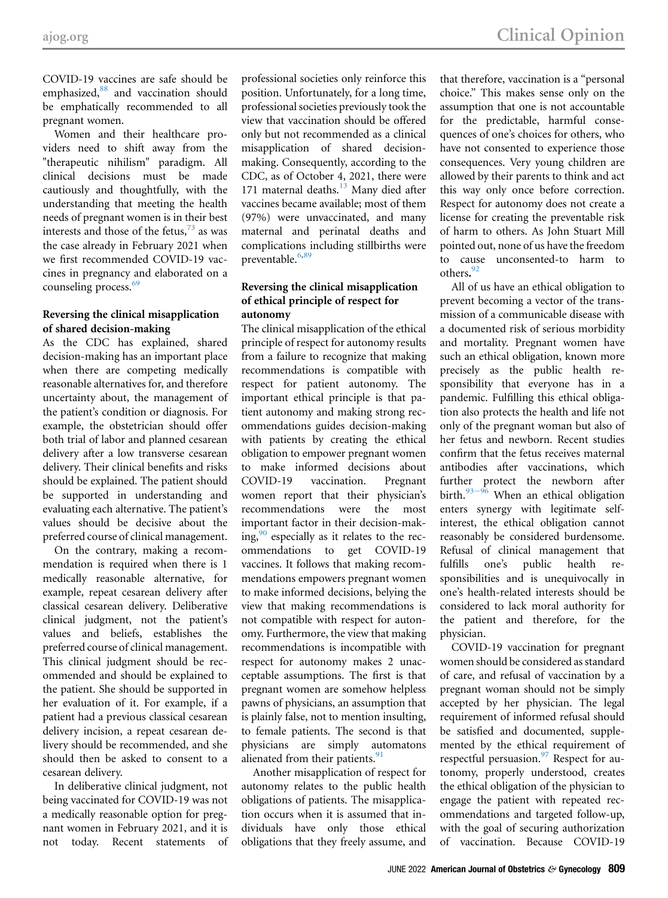COVID-19 vaccines are safe should be emphasized,<sup>[88](#page-7-21)</sup> and vaccination should be emphatically recommended to all pregnant women.

Women and their healthcare providers need to shift away from the "therapeutic nihilism" paradigm. All clinical decisions must be made cautiously and thoughtfully, with the understanding that meeting the health needs of pregnant women is in their best interests and those of the fetus, $^{73}$  $^{73}$  $^{73}$  as was the case already in February 2021 when we first recommended COVID-19 vaccines in pregnancy and elaborated on a counseling process.<sup>[69](#page-7-2)</sup>

# Reversing the clinical misapplication of shared decision-making

As the CDC has explained, shared decision-making has an important place when there are competing medically reasonable alternatives for, and therefore uncertainty about, the management of the patient's condition or diagnosis. For example, the obstetrician should offer both trial of labor and planned cesarean delivery after a low transverse cesarean delivery. Their clinical benefits and risks should be explained. The patient should be supported in understanding and evaluating each alternative. The patient's values should be decisive about the preferred course of clinical management.

On the contrary, making a recommendation is required when there is 1 medically reasonable alternative, for example, repeat cesarean delivery after classical cesarean delivery. Deliberative clinical judgment, not the patient's values and beliefs, establishes the preferred course of clinical management. This clinical judgment should be recommended and should be explained to the patient. She should be supported in her evaluation of it. For example, if a patient had a previous classical cesarean delivery incision, a repeat cesarean delivery should be recommended, and she should then be asked to consent to a cesarean delivery.

In deliberative clinical judgment, not being vaccinated for COVID-19 was not a medically reasonable option for pregnant women in February 2021, and it is not today. Recent statements of

professional societies only reinforce this position. Unfortunately, for a long time, professional societies previously took the view that vaccination should be offered only but not recommended as a clinical misapplication of shared decisionmaking. Consequently, according to the CDC, as of October 4, 2021, there were 171 maternal deaths. $13$  Many died after vaccines became available; most of them (97%) were unvaccinated, and many maternal and perinatal deaths and complications including stillbirths were preventable.<sup>[6](#page-5-5),[89](#page-7-22)</sup>

# Reversing the clinical misapplication of ethical principle of respect for autonomy

The clinical misapplication of the ethical principle of respect for autonomy results from a failure to recognize that making recommendations is compatible with respect for patient autonomy. The important ethical principle is that patient autonomy and making strong recommendations guides decision-making with patients by creating the ethical obligation to empower pregnant women to make informed decisions about COVID-19 vaccination. Pregnant women report that their physician's recommendations were the most important factor in their decision-making,  $\frac{90}{90}$  $\frac{90}{90}$  $\frac{90}{90}$  especially as it relates to the recommendations to get COVID-19 vaccines. It follows that making recommendations empowers pregnant women to make informed decisions, belying the view that making recommendations is not compatible with respect for autonomy. Furthermore, the view that making recommendations is incompatible with respect for autonomy makes 2 unacceptable assumptions. The first is that pregnant women are somehow helpless pawns of physicians, an assumption that is plainly false, not to mention insulting, to female patients. The second is that physicians are simply automatons alienated from their patients.<sup>91</sup>

Another misapplication of respect for autonomy relates to the public health obligations of patients. The misapplication occurs when it is assumed that individuals have only those ethical obligations that they freely assume, and

that therefore, vaccination is a "personal choice." This makes sense only on the assumption that one is not accountable for the predictable, harmful consequences of one's choices for others, who have not consented to experience those consequences. Very young children are allowed by their parents to think and act this way only once before correction. Respect for autonomy does not create a license for creating the preventable risk of harm to others. As John Stuart Mill pointed out, none of us have the freedom to cause unconsented-to harm to others. [92](#page-7-25)

All of us have an ethical obligation to prevent becoming a vector of the transmission of a communicable disease with a documented risk of serious morbidity and mortality. Pregnant women have such an ethical obligation, known more precisely as the public health responsibility that everyone has in a pandemic. Fulfilling this ethical obligation also protects the health and life not only of the pregnant woman but also of her fetus and newborn. Recent studies confirm that the fetus receives maternal antibodies after vaccinations, which further protect the newborn after birth. $93-96$  $93-96$  When an ethical obligation enters synergy with legitimate selfinterest, the ethical obligation cannot reasonably be considered burdensome. Refusal of clinical management that fulfills one's public health responsibilities and is unequivocally in one's health-related interests should be considered to lack moral authority for the patient and therefore, for the physician.

COVID-19 vaccination for pregnant women should be considered as standard of care, and refusal of vaccination by a pregnant woman should not be simply accepted by her physician. The legal requirement of informed refusal should be satisfied and documented, supplemented by the ethical requirement of respectful persuasion.<sup>[97](#page-7-27)</sup> Respect for autonomy, properly understood, creates the ethical obligation of the physician to engage the patient with repeated recommendations and targeted follow-up, with the goal of securing authorization of vaccination. Because COVID-19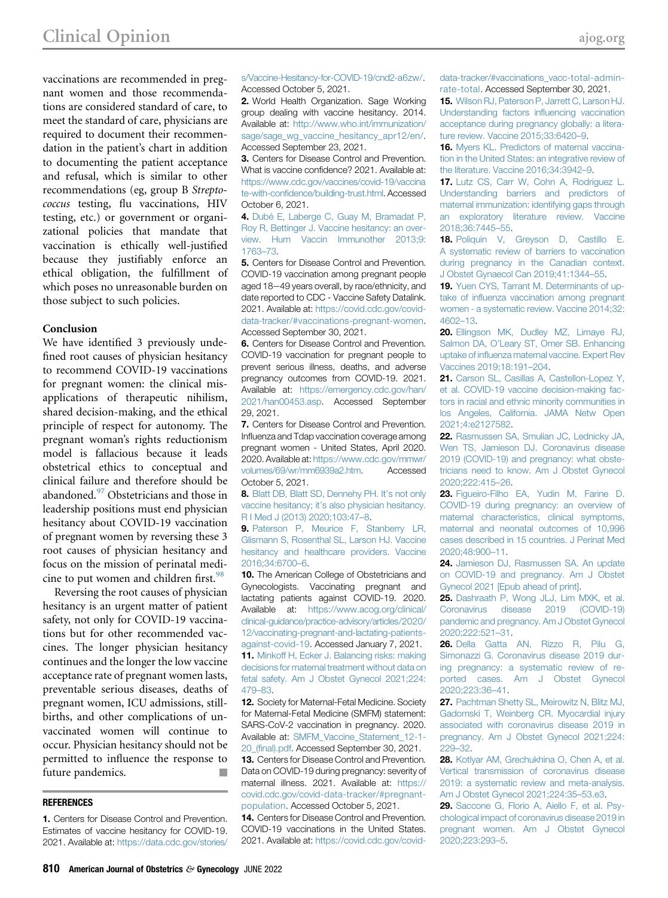vaccinations are recommended in pregnant women and those recommendations are considered standard of care, to meet the standard of care, physicians are required to document their recommendation in the patient's chart in addition to documenting the patient acceptance and refusal, which is similar to other recommendations (eg, group B Streptococcus testing, flu vaccinations, HIV testing, etc.) or government or organizational policies that mandate that vaccination is ethically well-justified because they justifiably enforce an ethical obligation, the fulfillment of which poses no unreasonable burden on those subject to such policies.

### Conclusion

We have identified 3 previously undefined root causes of physician hesitancy to recommend COVID-19 vaccinations for pregnant women: the clinical misapplications of therapeutic nihilism, shared decision-making, and the ethical principle of respect for autonomy. The pregnant woman's rights reductionism model is fallacious because it leads obstetrical ethics to conceptual and clinical failure and therefore should be abandoned.<sup>[97](#page-7-27)</sup> Obstetricians and those in leadership positions must end physician hesitancy about COVID-19 vaccination of pregnant women by reversing these 3 root causes of physician hesitancy and focus on the mission of perinatal medi-cine to put women and children first.<sup>[98](#page-7-28)</sup>

Reversing the root causes of physician hesitancy is an urgent matter of patient safety, not only for COVID-19 vaccinations but for other recommended vaccines. The longer physician hesitancy continues and the longer the low vaccine acceptance rate of pregnant women lasts, preventable serious diseases, deaths of pregnant women, ICU admissions, stillbirths, and other complications of unvaccinated women will continue to occur. Physician hesitancy should not be permitted to influence the response to future pandemics.

### **REFERENCES**

<span id="page-5-0"></span>1. Centers for Disease Control and Prevention. Estimates of vaccine hesitancy for COVID-19. 2021. Available at: [https://data.cdc.gov/stories/](https://data.cdc.gov/stories/s/Vaccine-Hesitancy-for-COVID-19/cnd2-a6zw/) [s/Vaccine-Hesitancy-for-COVID-19/cnd2-a6zw/.](https://data.cdc.gov/stories/s/Vaccine-Hesitancy-for-COVID-19/cnd2-a6zw/) Accessed October 5, 2021.

<span id="page-5-1"></span>2. World Health Organization. Sage Working group dealing with vaccine hesitancy. 2014. Available at: [http://www.who.int/immunization/](http://www.who.int/immunization/sage/sage_wg_vaccine_hesitancy_apr12/en/) [sage/sage\\_wg\\_vaccine\\_hesitancy\\_apr12/en/](http://www.who.int/immunization/sage/sage_wg_vaccine_hesitancy_apr12/en/). Accessed September 23, 2021.

<span id="page-5-2"></span>3. Centers for Disease Control and Prevention. What is vaccine confidence? 2021. Available at: [https://www.cdc.gov/vaccines/covid-19/vaccina](https://www.cdc.gov/vaccines/covid-19/vaccinate-with-confidence/building-trust.html) te-with-confi[dence/building-trust.html.](https://www.cdc.gov/vaccines/covid-19/vaccinate-with-confidence/building-trust.html) Accessed October 6, 2021.

<span id="page-5-3"></span>4. [Dubé E, Laberge C, Guay M, Bramadat P,](http://refhub.elsevier.com/S0002-9378(21)01210-2/sref4) [Roy R, Bettinger J. Vaccine hesitancy: an over](http://refhub.elsevier.com/S0002-9378(21)01210-2/sref4)[view. Hum Vaccin Immunother 2013;9:](http://refhub.elsevier.com/S0002-9378(21)01210-2/sref4) [1763](http://refhub.elsevier.com/S0002-9378(21)01210-2/sref4)–73.

<span id="page-5-4"></span>5. Centers for Disease Control and Prevention. COVID-19 vaccination among pregnant people aged 18-49 years overall, by race/ethnicity, and date reported to CDC - Vaccine Safety Datalink. 2021. Available at: [https://covid.cdc.gov/covid](https://covid.cdc.gov/covid-data-tracker/#vaccinations-pregnant-women)[data-tracker/#vaccinations-pregnant-women](https://covid.cdc.gov/covid-data-tracker/#vaccinations-pregnant-women). Accessed September 30, 2021.

<span id="page-5-5"></span>6. Centers for Disease Control and Prevention. COVID-19 vaccination for pregnant people to prevent serious illness, deaths, and adverse pregnancy outcomes from COVID-19. 2021. Available at: [https://emergency.cdc.gov/han/](https://emergency.cdc.gov/han/2021/han00453.asp) [2021/han00453.asp](https://emergency.cdc.gov/han/2021/han00453.asp). Accessed September 29, 2021.

<span id="page-5-6"></span>7. Centers for Disease Control and Prevention. Influenza and Tdap vaccination coverage among pregnant women - United States, April 2020. 2020. Available at: [https://www.cdc.gov/mmwr/](https://www.cdc.gov/mmwr/volumes/69/wr/mm6939a2.htm) [volumes/69/wr/mm6939a2.htm](https://www.cdc.gov/mmwr/volumes/69/wr/mm6939a2.htm). Accessed October 5, 2021.

<span id="page-5-7"></span>8. [Blatt DB, Blatt SD, Dennehy PH. It](http://refhub.elsevier.com/S0002-9378(21)01210-2/sref8)'s not only vaccine hesitancy; it'[s also physician hesitancy.](http://refhub.elsevier.com/S0002-9378(21)01210-2/sref8) [R I Med J \(2013\) 2020;103:47](http://refhub.elsevier.com/S0002-9378(21)01210-2/sref8)–8.

<span id="page-5-8"></span>9. [Paterson P, Meurice F, Stanberry LR,](http://refhub.elsevier.com/S0002-9378(21)01210-2/sref9) [Glismann S, Rosenthal SL, Larson HJ. Vaccine](http://refhub.elsevier.com/S0002-9378(21)01210-2/sref9) [hesitancy and healthcare providers. Vaccine](http://refhub.elsevier.com/S0002-9378(21)01210-2/sref9) [2016;34:6700](http://refhub.elsevier.com/S0002-9378(21)01210-2/sref9)–6.

<span id="page-5-9"></span>10. The American College of Obstetricians and Gynecologists. Vaccinating pregnant and lactating patients against COVID-19. 2020. Available at: [https://www.acog.org/clinical/](https://www.acog.org/clinical/%20clinical-guidance/practice-advisory/articles/2020/12/vaccinating-pregnant-and-lactating-patients-against-covid-19) [clinical-guidance/practice-advisory/articles/2020/](https://www.acog.org/clinical/%20clinical-guidance/practice-advisory/articles/2020/12/vaccinating-pregnant-and-lactating-patients-against-covid-19) [12/vaccinating-pregnant-and-lactating-patients](https://www.acog.org/clinical/%20clinical-guidance/practice-advisory/articles/2020/12/vaccinating-pregnant-and-lactating-patients-against-covid-19)[against-covid-19](https://www.acog.org/clinical/%20clinical-guidance/practice-advisory/articles/2020/12/vaccinating-pregnant-and-lactating-patients-against-covid-19). Accessed January 7, 2021.

<span id="page-5-14"></span>11. [Minkoff H, Ecker J. Balancing risks: making](http://refhub.elsevier.com/S0002-9378(21)01210-2/sref11) [decisions for maternal treatment without data on](http://refhub.elsevier.com/S0002-9378(21)01210-2/sref11) [fetal safety. Am J Obstet Gynecol 2021;224:](http://refhub.elsevier.com/S0002-9378(21)01210-2/sref11) [479](http://refhub.elsevier.com/S0002-9378(21)01210-2/sref11)–83.

12. Society for Maternal-Fetal Medicine. Society for Maternal-Fetal Medicine (SMFM) statement: SARS-CoV-2 vaccination in pregnancy. 2020. Available at: [SMFM\\_Vaccine\\_Statement\\_12-1-](http://SMFM_Vaccine_Statement_12-1-20_(final).pdf) 20\_(fi[nal\).pdf](http://SMFM_Vaccine_Statement_12-1-20_(final).pdf). Accessed September 30, 2021.

<span id="page-5-10"></span>13. Centers for Disease Control and Prevention. Data on COVID-19 during pregnancy: severity of maternal illness. 2021. Available at: [https://](https://covid.cdc.gov/covid-data-tracker/#pregnant-population) [covid.cdc.gov/covid-data-tracker/#pregnant](https://covid.cdc.gov/covid-data-tracker/#pregnant-population)[population.](https://covid.cdc.gov/covid-data-tracker/#pregnant-population) Accessed October 5, 2021.

<span id="page-5-11"></span>14. Centers for Disease Control and Prevention. COVID-19 vaccinations in the United States. 2021. Available at: [https://covid.cdc.gov/covid-](https://covid.cdc.gov/covid-data-tracker/#vaccinations_vacc-total-admin-rate-total) [data-tracker/#vaccinations\\_vacc-total-admin](https://covid.cdc.gov/covid-data-tracker/#vaccinations_vacc-total-admin-rate-total)[rate-total](https://covid.cdc.gov/covid-data-tracker/#vaccinations_vacc-total-admin-rate-total). Accessed September 30, 2021.

<span id="page-5-12"></span>15. [Wilson RJ, Paterson P, Jarrett C, Larson HJ.](http://refhub.elsevier.com/S0002-9378(21)01210-2/sref15) [Understanding factors in](http://refhub.elsevier.com/S0002-9378(21)01210-2/sref15)fluencing vaccination [acceptance during pregnancy globally: a litera](http://refhub.elsevier.com/S0002-9378(21)01210-2/sref15)[ture review. Vaccine 2015;33:6420](http://refhub.elsevier.com/S0002-9378(21)01210-2/sref15)–9.

16. [Myers KL. Predictors of maternal vaccina](http://refhub.elsevier.com/S0002-9378(21)01210-2/sref16)[tion in the United States: an integrative review of](http://refhub.elsevier.com/S0002-9378(21)01210-2/sref16) [the literature. Vaccine 2016;34:3942](http://refhub.elsevier.com/S0002-9378(21)01210-2/sref16)–9.

17. [Lutz CS, Carr W, Cohn A, Rodriguez L.](http://refhub.elsevier.com/S0002-9378(21)01210-2/sref17) [Understanding barriers and predictors of](http://refhub.elsevier.com/S0002-9378(21)01210-2/sref17) [maternal immunization: identifying gaps through](http://refhub.elsevier.com/S0002-9378(21)01210-2/sref17) [an exploratory literature review. Vaccine](http://refhub.elsevier.com/S0002-9378(21)01210-2/sref17) [2018;36:7445](http://refhub.elsevier.com/S0002-9378(21)01210-2/sref17)–55.

18. [Poliquin V, Greyson D, Castillo E.](http://refhub.elsevier.com/S0002-9378(21)01210-2/sref18) [A systematic review of barriers to vaccination](http://refhub.elsevier.com/S0002-9378(21)01210-2/sref18) [during pregnancy in the Canadian context.](http://refhub.elsevier.com/S0002-9378(21)01210-2/sref18) [J Obstet Gynaecol Can 2019;41:1344](http://refhub.elsevier.com/S0002-9378(21)01210-2/sref18)–55.

19. [Yuen CYS, Tarrant M. Determinants of up](http://refhub.elsevier.com/S0002-9378(21)01210-2/sref19)take of infl[uenza vaccination among pregnant](http://refhub.elsevier.com/S0002-9378(21)01210-2/sref19) [women - a systematic review. Vaccine 2014;32:](http://refhub.elsevier.com/S0002-9378(21)01210-2/sref19) [4602](http://refhub.elsevier.com/S0002-9378(21)01210-2/sref19)–13.

20. [Ellingson MK, Dudley MZ, Limaye RJ,](http://refhub.elsevier.com/S0002-9378(21)01210-2/sref20) Salmon DA, O'[Leary ST, Omer SB. Enhancing](http://refhub.elsevier.com/S0002-9378(21)01210-2/sref20) uptake of infl[uenza maternal vaccine. Expert Rev](http://refhub.elsevier.com/S0002-9378(21)01210-2/sref20) [Vaccines 2019;18:191](http://refhub.elsevier.com/S0002-9378(21)01210-2/sref20)–204.

<span id="page-5-15"></span>21. [Carson SL, Casillas A, Castellon-Lopez Y,](http://refhub.elsevier.com/S0002-9378(21)01210-2/sref21) [et al. COVID-19 vaccine decision-making fac](http://refhub.elsevier.com/S0002-9378(21)01210-2/sref21)[tors in racial and ethnic minority communities in](http://refhub.elsevier.com/S0002-9378(21)01210-2/sref21) [los Angeles, California. JAMA Netw Open](http://refhub.elsevier.com/S0002-9378(21)01210-2/sref21) [2021;4:e2127582.](http://refhub.elsevier.com/S0002-9378(21)01210-2/sref21)

<span id="page-5-13"></span>22. [Rasmussen SA, Smulian JC, Lednicky JA,](http://refhub.elsevier.com/S0002-9378(21)01210-2/sref22) [Wen TS, Jamieson DJ. Coronavirus disease](http://refhub.elsevier.com/S0002-9378(21)01210-2/sref22) [2019 \(COVID-19\) and pregnancy: what obste](http://refhub.elsevier.com/S0002-9378(21)01210-2/sref22)[tricians need to know. Am J Obstet Gynecol](http://refhub.elsevier.com/S0002-9378(21)01210-2/sref22) [2020;222:415](http://refhub.elsevier.com/S0002-9378(21)01210-2/sref22)–26.

23. [Figueiro-Filho EA, Yudin M, Farine D.](http://refhub.elsevier.com/S0002-9378(21)01210-2/sref23) [COVID-19 during pregnancy: an overview of](http://refhub.elsevier.com/S0002-9378(21)01210-2/sref23) [maternal characteristics, clinical symptoms,](http://refhub.elsevier.com/S0002-9378(21)01210-2/sref23) [maternal and neonatal outcomes of 10,996](http://refhub.elsevier.com/S0002-9378(21)01210-2/sref23) [cases described in 15 countries. J Perinat Med](http://refhub.elsevier.com/S0002-9378(21)01210-2/sref23) [2020;48:900](http://refhub.elsevier.com/S0002-9378(21)01210-2/sref23)–11.

24. [Jamieson DJ, Rasmussen SA. An update](http://refhub.elsevier.com/S0002-9378(21)01210-2/sref24) [on COVID-19 and pregnancy. Am J Obstet](http://refhub.elsevier.com/S0002-9378(21)01210-2/sref24) [Gynecol 2021 \[Epub ahead of print\].](http://refhub.elsevier.com/S0002-9378(21)01210-2/sref24)

<span id="page-5-16"></span>25. [Dashraath P, Wong JLJ, Lim MXK, et al.](http://refhub.elsevier.com/S0002-9378(21)01210-2/sref25) [Coronavirus disease 2019 \(COVID-19\)](http://refhub.elsevier.com/S0002-9378(21)01210-2/sref25) [pandemic and pregnancy. Am J Obstet Gynecol](http://refhub.elsevier.com/S0002-9378(21)01210-2/sref25) [2020;222:521](http://refhub.elsevier.com/S0002-9378(21)01210-2/sref25)–31.

26. [Della Gatta AN, Rizzo R, Pilu G,](http://refhub.elsevier.com/S0002-9378(21)01210-2/sref26) [Simonazzi G. Coronavirus disease 2019 dur](http://refhub.elsevier.com/S0002-9378(21)01210-2/sref26)[ing pregnancy: a systematic review of re](http://refhub.elsevier.com/S0002-9378(21)01210-2/sref26)[ported cases. Am J Obstet Gynecol](http://refhub.elsevier.com/S0002-9378(21)01210-2/sref26) [2020;223:36](http://refhub.elsevier.com/S0002-9378(21)01210-2/sref26)–41.

<span id="page-5-17"></span>27. [Pachtman Shetty SL, Meirowitz N, Blitz MJ,](http://refhub.elsevier.com/S0002-9378(21)01210-2/sref27) [Gadomski T, Weinberg CR. Myocardial injury](http://refhub.elsevier.com/S0002-9378(21)01210-2/sref27) [associated with coronavirus disease 2019 in](http://refhub.elsevier.com/S0002-9378(21)01210-2/sref27) [pregnancy. Am J Obstet Gynecol 2021;224:](http://refhub.elsevier.com/S0002-9378(21)01210-2/sref27) [229](http://refhub.elsevier.com/S0002-9378(21)01210-2/sref27)–32.

28. [Kotlyar AM, Grechukhina O, Chen A, et al.](http://refhub.elsevier.com/S0002-9378(21)01210-2/sref28) [Vertical transmission of coronavirus disease](http://refhub.elsevier.com/S0002-9378(21)01210-2/sref28) [2019: a systematic review and meta-analysis.](http://refhub.elsevier.com/S0002-9378(21)01210-2/sref28) [Am J Obstet Gynecol 2021;224:35](http://refhub.elsevier.com/S0002-9378(21)01210-2/sref28)–53.e3.

29. [Saccone G, Florio A, Aiello F, et al. Psy](http://refhub.elsevier.com/S0002-9378(21)01210-2/sref29)[chological impact of coronavirus disease 2019 in](http://refhub.elsevier.com/S0002-9378(21)01210-2/sref29) [pregnant women. Am J Obstet Gynecol](http://refhub.elsevier.com/S0002-9378(21)01210-2/sref29) [2020;223:293](http://refhub.elsevier.com/S0002-9378(21)01210-2/sref29)–5.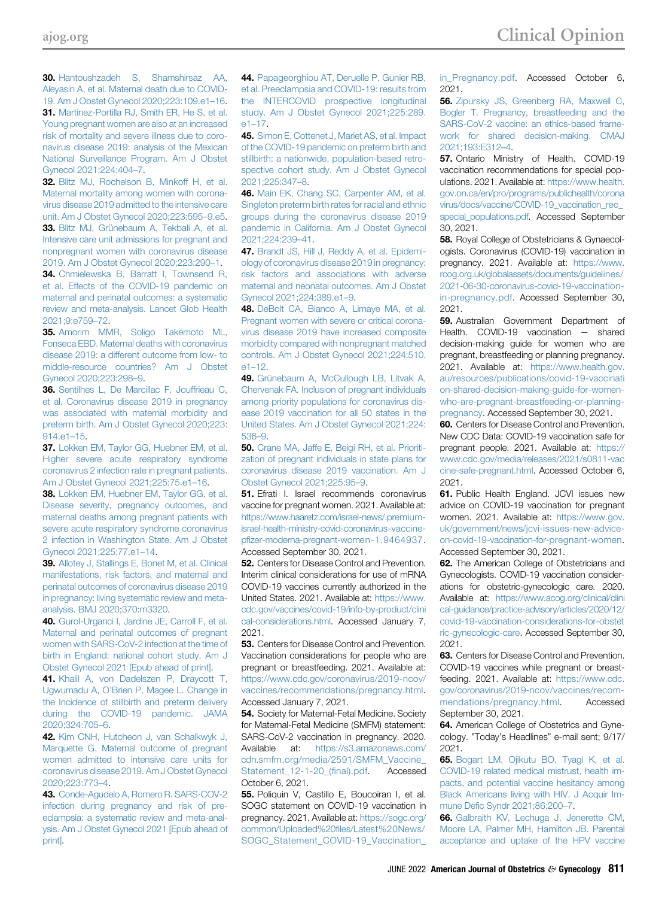<span id="page-6-9"></span>30. [Hantoushzadeh S, Shamshirsaz AA,](http://refhub.elsevier.com/S0002-9378(21)01210-2/sref30) [Aleyasin A, et al. Maternal death due to COVID-](http://refhub.elsevier.com/S0002-9378(21)01210-2/sref30)[19. Am J Obstet Gynecol 2020;223:109.e1](http://refhub.elsevier.com/S0002-9378(21)01210-2/sref30)–16. 31. [Martinez-Portilla RJ, Smith ER, He S, et al.](http://refhub.elsevier.com/S0002-9378(21)01210-2/sref31) [Young pregnant women are also at an increased](http://refhub.elsevier.com/S0002-9378(21)01210-2/sref31) [risk of mortality and severe illness due to coro](http://refhub.elsevier.com/S0002-9378(21)01210-2/sref31)[navirus disease 2019: analysis of the Mexican](http://refhub.elsevier.com/S0002-9378(21)01210-2/sref31) [National Surveillance Program. Am J Obstet](http://refhub.elsevier.com/S0002-9378(21)01210-2/sref31) [Gynecol 2021;224:404](http://refhub.elsevier.com/S0002-9378(21)01210-2/sref31)–7.

<span id="page-6-10"></span>32. [Blitz MJ, Rochelson B, Minkoff H, et al.](http://refhub.elsevier.com/S0002-9378(21)01210-2/sref32) [Maternal mortality among women with corona](http://refhub.elsevier.com/S0002-9378(21)01210-2/sref32)[virus disease 2019 admitted to the intensive care](http://refhub.elsevier.com/S0002-9378(21)01210-2/sref32) [unit. Am J Obstet Gynecol 2020;223:595](http://refhub.elsevier.com/S0002-9378(21)01210-2/sref32)–9.e5. 33. [Blitz MJ, Grünebaum A, Tekbali A, et al.](http://refhub.elsevier.com/S0002-9378(21)01210-2/sref33) [Intensive care unit admissions for pregnant and](http://refhub.elsevier.com/S0002-9378(21)01210-2/sref33) [nonpregnant women with coronavirus disease](http://refhub.elsevier.com/S0002-9378(21)01210-2/sref33) [2019. Am J Obstet Gynecol 2020;223:290](http://refhub.elsevier.com/S0002-9378(21)01210-2/sref33)–1.

34. [Chmielewska B, Barratt I, Townsend R,](http://refhub.elsevier.com/S0002-9378(21)01210-2/sref34) [et al. Effects of the COVID-19 pandemic on](http://refhub.elsevier.com/S0002-9378(21)01210-2/sref34) [maternal and perinatal outcomes: a systematic](http://refhub.elsevier.com/S0002-9378(21)01210-2/sref34) [review and meta-analysis. Lancet Glob Health](http://refhub.elsevier.com/S0002-9378(21)01210-2/sref34) [2021;9:e759](http://refhub.elsevier.com/S0002-9378(21)01210-2/sref34)–72.

<span id="page-6-11"></span>35. [Amorim MMR, Soligo Takemoto ML,](http://refhub.elsevier.com/S0002-9378(21)01210-2/sref35) [Fonseca EBD. Maternal deaths with coronavirus](http://refhub.elsevier.com/S0002-9378(21)01210-2/sref35) [disease 2019: a different outcome from low- to](http://refhub.elsevier.com/S0002-9378(21)01210-2/sref35) [middle-resource countries? Am J Obstet](http://refhub.elsevier.com/S0002-9378(21)01210-2/sref35) [Gynecol 2020;223:298](http://refhub.elsevier.com/S0002-9378(21)01210-2/sref35)–9.

<span id="page-6-12"></span>36. [Sentilhes L, De Marcillac F, Jouffrieau C,](http://refhub.elsevier.com/S0002-9378(21)01210-2/sref36) [et al. Coronavirus disease 2019 in pregnancy](http://refhub.elsevier.com/S0002-9378(21)01210-2/sref36) [was associated with maternal morbidity and](http://refhub.elsevier.com/S0002-9378(21)01210-2/sref36) [preterm birth. Am J Obstet Gynecol 2020;223:](http://refhub.elsevier.com/S0002-9378(21)01210-2/sref36) [914.e1](http://refhub.elsevier.com/S0002-9378(21)01210-2/sref36)–15.

37. [Lokken EM, Taylor GG, Huebner EM, et al.](http://refhub.elsevier.com/S0002-9378(21)01210-2/sref37) [Higher severe acute respiratory syndrome](http://refhub.elsevier.com/S0002-9378(21)01210-2/sref37) [coronavirus 2 infection rate in pregnant patients.](http://refhub.elsevier.com/S0002-9378(21)01210-2/sref37) [Am J Obstet Gynecol 2021;225:75.e1](http://refhub.elsevier.com/S0002-9378(21)01210-2/sref37)–16.

38. [Lokken EM, Huebner EM, Taylor GG, et al.](http://refhub.elsevier.com/S0002-9378(21)01210-2/sref38) [Disease severity, pregnancy outcomes, and](http://refhub.elsevier.com/S0002-9378(21)01210-2/sref38) [maternal deaths among pregnant patients with](http://refhub.elsevier.com/S0002-9378(21)01210-2/sref38) [severe acute respiratory syndrome coronavirus](http://refhub.elsevier.com/S0002-9378(21)01210-2/sref38) [2 infection in Washington State. Am J Obstet](http://refhub.elsevier.com/S0002-9378(21)01210-2/sref38) [Gynecol 2021;225:77.e1](http://refhub.elsevier.com/S0002-9378(21)01210-2/sref38)–14.

39. Allotey J. Stallings E. Bonet M, et al. Clinical [manifestations, risk factors, and maternal and](http://refhub.elsevier.com/S0002-9378(21)01210-2/sref39) [perinatal outcomes of coronavirus disease 2019](http://refhub.elsevier.com/S0002-9378(21)01210-2/sref39) [in pregnancy: living systematic review and meta](http://refhub.elsevier.com/S0002-9378(21)01210-2/sref39)[analysis. BMJ 2020;370:m3320.](http://refhub.elsevier.com/S0002-9378(21)01210-2/sref39)

40. [Gurol-Urganci I, Jardine JE, Carroll F, et al.](http://refhub.elsevier.com/S0002-9378(21)01210-2/sref40) [Maternal and perinatal outcomes of pregnant](http://refhub.elsevier.com/S0002-9378(21)01210-2/sref40) [women with SARS-CoV-2 infection at the time of](http://refhub.elsevier.com/S0002-9378(21)01210-2/sref40) [birth in England: national cohort study. Am J](http://refhub.elsevier.com/S0002-9378(21)01210-2/sref40) [Obstet Gynecol 2021 \[Epub ahead of print\].](http://refhub.elsevier.com/S0002-9378(21)01210-2/sref40)

41. [Khalil A, von Dadelszen P, Draycott T,](http://refhub.elsevier.com/S0002-9378(21)01210-2/sref41) Ugwumadu A, O'[Brien P, Magee L. Change in](http://refhub.elsevier.com/S0002-9378(21)01210-2/sref41) [the Incidence of stillbirth and preterm delivery](http://refhub.elsevier.com/S0002-9378(21)01210-2/sref41) [during the COVID-19 pandemic. JAMA](http://refhub.elsevier.com/S0002-9378(21)01210-2/sref41) [2020;324:705](http://refhub.elsevier.com/S0002-9378(21)01210-2/sref41)–6.

42. [Kim CNH, Hutcheon J, van Schalkwyk J,](http://refhub.elsevier.com/S0002-9378(21)01210-2/sref42) [Marquette G. Maternal outcome of pregnant](http://refhub.elsevier.com/S0002-9378(21)01210-2/sref42) [women admitted to intensive care units for](http://refhub.elsevier.com/S0002-9378(21)01210-2/sref42) [coronavirus disease 2019. Am J Obstet Gynecol](http://refhub.elsevier.com/S0002-9378(21)01210-2/sref42) [2020;223:773](http://refhub.elsevier.com/S0002-9378(21)01210-2/sref42)–4.

43. [Conde-Agudelo A, Romero R. SARS-COV-2](http://refhub.elsevier.com/S0002-9378(21)01210-2/sref43) [infection during pregnancy and risk of pre](http://refhub.elsevier.com/S0002-9378(21)01210-2/sref43)[eclampsia: a systematic review and meta-anal](http://refhub.elsevier.com/S0002-9378(21)01210-2/sref43)[ysis. Am J Obstet Gynecol 2021 \[Epub ahead of](http://refhub.elsevier.com/S0002-9378(21)01210-2/sref43) [print\]](http://refhub.elsevier.com/S0002-9378(21)01210-2/sref43).

44. [Papageorghiou AT, Deruelle P, Gunier RB,](http://refhub.elsevier.com/S0002-9378(21)01210-2/sref44) [et al. Preeclampsia and COVID-19: results from](http://refhub.elsevier.com/S0002-9378(21)01210-2/sref44) [the INTERCOVID prospective longitudinal](http://refhub.elsevier.com/S0002-9378(21)01210-2/sref44) [study. Am J Obstet Gynecol 2021;225:289.](http://refhub.elsevier.com/S0002-9378(21)01210-2/sref44) e1–[17.](http://refhub.elsevier.com/S0002-9378(21)01210-2/sref44)

45. [Simon E, Cottenet J, Mariet AS, et al. Impact](http://refhub.elsevier.com/S0002-9378(21)01210-2/sref45) [of the COVID-19 pandemic on preterm birth and](http://refhub.elsevier.com/S0002-9378(21)01210-2/sref45) [stillbirth: a nationwide, population-based retro](http://refhub.elsevier.com/S0002-9378(21)01210-2/sref45)[spective cohort study. Am J Obstet Gynecol](http://refhub.elsevier.com/S0002-9378(21)01210-2/sref45) [2021;225:347](http://refhub.elsevier.com/S0002-9378(21)01210-2/sref45)–8.

46. [Main EK, Chang SC, Carpenter AM, et al.](http://refhub.elsevier.com/S0002-9378(21)01210-2/sref46) [Singleton preterm birth rates for racial and ethnic](http://refhub.elsevier.com/S0002-9378(21)01210-2/sref46) [groups during the coronavirus disease 2019](http://refhub.elsevier.com/S0002-9378(21)01210-2/sref46) [pandemic in California. Am J Obstet Gynecol](http://refhub.elsevier.com/S0002-9378(21)01210-2/sref46) [2021;224:239](http://refhub.elsevier.com/S0002-9378(21)01210-2/sref46)–41.

47. [Brandt JS, Hill J, Reddy A, et al. Epidemi](http://refhub.elsevier.com/S0002-9378(21)01210-2/sref47)[ology of coronavirus disease 2019 in pregnancy:](http://refhub.elsevier.com/S0002-9378(21)01210-2/sref47) [risk factors and associations with adverse](http://refhub.elsevier.com/S0002-9378(21)01210-2/sref47) [maternal and neonatal outcomes. Am J Obstet](http://refhub.elsevier.com/S0002-9378(21)01210-2/sref47) [Gynecol 2021;224:389.e1](http://refhub.elsevier.com/S0002-9378(21)01210-2/sref47)–9.

48. [DeBolt CA, Bianco A, Limaye MA, et al.](http://refhub.elsevier.com/S0002-9378(21)01210-2/sref48) [Pregnant women with severe or critical corona](http://refhub.elsevier.com/S0002-9378(21)01210-2/sref48)[virus disease 2019 have increased composite](http://refhub.elsevier.com/S0002-9378(21)01210-2/sref48) [morbidity compared with nonpregnant matched](http://refhub.elsevier.com/S0002-9378(21)01210-2/sref48) [controls. Am J Obstet Gynecol 2021;224:510.](http://refhub.elsevier.com/S0002-9378(21)01210-2/sref48)  $61 - 12$ 

<span id="page-6-0"></span>49. [Grünebaum A, McCullough LB, Litvak A,](http://refhub.elsevier.com/S0002-9378(21)01210-2/sref49) [Chervenak FA. Inclusion of pregnant individuals](http://refhub.elsevier.com/S0002-9378(21)01210-2/sref49) [among priority populations for coronavirus dis](http://refhub.elsevier.com/S0002-9378(21)01210-2/sref49)[ease 2019 vaccination for all 50 states in the](http://refhub.elsevier.com/S0002-9378(21)01210-2/sref49) [United States. Am J Obstet Gynecol 2021;224:](http://refhub.elsevier.com/S0002-9378(21)01210-2/sref49) [536](http://refhub.elsevier.com/S0002-9378(21)01210-2/sref49)–9.

<span id="page-6-1"></span>50. [Crane MA, Jaffe E, Beigi RH, et al. Prioriti](http://refhub.elsevier.com/S0002-9378(21)01210-2/sref50)[zation of pregnant individuals in state plans for](http://refhub.elsevier.com/S0002-9378(21)01210-2/sref50) [coronavirus disease 2019 vaccination. Am J](http://refhub.elsevier.com/S0002-9378(21)01210-2/sref50) [Obstet Gynecol 2021;225:95](http://refhub.elsevier.com/S0002-9378(21)01210-2/sref50)–9.

<span id="page-6-2"></span>51. Efrati I. Israel recommends coronavirus vaccine for pregnant women. 2021. Available at: [https://www.haaretz.com/israel-news/.premium](https://www.haaretz.com/israel-news/.premium-israel-health-ministry-covid-coronavirus-vaccine-pfizer-moderna-pregnant-women-1.9464937)[israel-health-ministry-covid-coronavirus-vaccine](https://www.haaretz.com/israel-news/.premium-israel-health-ministry-covid-coronavirus-vaccine-pfizer-moderna-pregnant-women-1.9464937)pfi[zer-moderna-pregnant-women-1.9464937](https://www.haaretz.com/israel-news/.premium-israel-health-ministry-covid-coronavirus-vaccine-pfizer-moderna-pregnant-women-1.9464937). Accessed September 30, 2021.

<span id="page-6-3"></span>**52.** Centers for Disease Control and Prevention. Interim clinical considerations for use of mRNA COVID-19 vaccines currently authorized in the United States. 2021. Available at: [https://www.](https://www.cdc.gov/vaccines/covid-19/info-by-product/clinical-considerations.html) [cdc.gov/vaccines/covid-19/info-by-product/clini](https://www.cdc.gov/vaccines/covid-19/info-by-product/clinical-considerations.html) [cal-considerations.html](https://www.cdc.gov/vaccines/covid-19/info-by-product/clinical-considerations.html). Accessed January 7, 2021.

**53.** Centers for Disease Control and Prevention. Vaccination considerations for people who are pregnant or breastfeeding. 2021. Available at: [https://www.cdc.gov/coronavirus/2019-ncov/](https://www.cdc.gov/coronavirus/2019-ncov/vaccines/recommendations/pregnancy.html) [vaccines/recommendations/pregnancy.html](https://www.cdc.gov/coronavirus/2019-ncov/vaccines/recommendations/pregnancy.html). Accessed January 7, 2021.

54. Society for Maternal-Fetal Medicine. Society for Maternal-Fetal Medicine (SMFM) statement: SARS-CoV-2 vaccination in pregnancy. 2020. Available at: [https://s3.amazonaws.com/](https://s3.amazonaws.com/cdn.smfm.org/media/2591/SMFM_Vaccine_Statement_12-1-20_(final).pdf) [cdn.smfm.org/media/2591/SMFM\\_Vaccine\\_](https://s3.amazonaws.com/cdn.smfm.org/media/2591/SMFM_Vaccine_Statement_12-1-20_(final).pdf) Statement 12-1-20 (final).pdf. Accessed October 6, 2021.

55. Poliquin V, Castillo E, Boucoiran I, et al. SOGC statement on COVID-19 vaccination in pregnancy. 2021. Available at: [https://sogc.org/](https://sogc.org/common/Uploaded%20files/Latest%20News/SOGC_Statement_COVID-19_Vaccination_in_Pregnancy.pdf) [common/Uploaded%20](https://sogc.org/common/Uploaded%20files/Latest%20News/SOGC_Statement_COVID-19_Vaccination_in_Pregnancy.pdf)files/Latest%20News/ [SOGC\\_Statement\\_COVID-19\\_Vaccination\\_](https://sogc.org/common/Uploaded%20files/Latest%20News/SOGC_Statement_COVID-19_Vaccination_in_Pregnancy.pdf)

in Pregnancy.pdf. Accessed October 6, 2021.

<span id="page-6-4"></span>56. [Zipursky JS, Greenberg RA, Maxwell C,](http://refhub.elsevier.com/S0002-9378(21)01210-2/sref56) [Bogler T. Pregnancy, breastfeeding and the](http://refhub.elsevier.com/S0002-9378(21)01210-2/sref56) [SARS-CoV-2 vaccine: an ethics-based frame](http://refhub.elsevier.com/S0002-9378(21)01210-2/sref56)[work for shared decision-making. CMAJ](http://refhub.elsevier.com/S0002-9378(21)01210-2/sref56) [2021;193:E312](http://refhub.elsevier.com/S0002-9378(21)01210-2/sref56)–4.

57. Ontario Ministry of Health. COVID-19 vaccination recommendations for special populations. 2021. Available at: [https://www.health.](https://www.health.gov.on.ca/en/pro/programs/publichealth/coronavirus/docs/vaccine/COVID-19_vaccination_rec_special_populations.pdf) [gov.on.ca/en/pro/programs/publichealth/corona](https://www.health.gov.on.ca/en/pro/programs/publichealth/coronavirus/docs/vaccine/COVID-19_vaccination_rec_special_populations.pdf) virus/docs/vaccine/COVID-19\_vaccination\_rec [special\\_populations.pdf.](https://www.health.gov.on.ca/en/pro/programs/publichealth/coronavirus/docs/vaccine/COVID-19_vaccination_rec_special_populations.pdf) Accessed September 30, 2021.

58. Royal College of Obstetricians & Gynaecologists. Coronavirus (COVID-19) vaccination in pregnancy. 2021. Available at: [https://www.](https://www.rcog.org.uk/globalassets/documents/guidelines/2021-06-30-coronavirus-covid-19-vaccination-in-pregnancy.pdf) [rcog.org.uk/globalassets/documents/guidelines/](https://www.rcog.org.uk/globalassets/documents/guidelines/2021-06-30-coronavirus-covid-19-vaccination-in-pregnancy.pdf) [2021-06-30-coronavirus-covid-19-vaccination](https://www.rcog.org.uk/globalassets/documents/guidelines/2021-06-30-coronavirus-covid-19-vaccination-in-pregnancy.pdf)[in-pregnancy.pdf](https://www.rcog.org.uk/globalassets/documents/guidelines/2021-06-30-coronavirus-covid-19-vaccination-in-pregnancy.pdf). Accessed September 30, 2021.

59. Australian Government Department of Health. COVID-19 vaccination - shared decision-making guide for women who are pregnant, breastfeeding or planning pregnancy. 2021. Available at: [https://www.health.gov.](https://www.health.gov.au/resources/publications/covid-19-vaccination-shared-decision-making-guide-for-women-who-are-pregnant-breastfeeding-or-planning-pregnancy) [au/resources/publications/covid-19-vaccinati](https://www.health.gov.au/resources/publications/covid-19-vaccination-shared-decision-making-guide-for-women-who-are-pregnant-breastfeeding-or-planning-pregnancy) [on-shared-decision-making-guide-for-women](https://www.health.gov.au/resources/publications/covid-19-vaccination-shared-decision-making-guide-for-women-who-are-pregnant-breastfeeding-or-planning-pregnancy)[who-are-pregnant-breastfeeding-or-planning](https://www.health.gov.au/resources/publications/covid-19-vaccination-shared-decision-making-guide-for-women-who-are-pregnant-breastfeeding-or-planning-pregnancy)[pregnancy](https://www.health.gov.au/resources/publications/covid-19-vaccination-shared-decision-making-guide-for-women-who-are-pregnant-breastfeeding-or-planning-pregnancy). Accessed September 30, 2021.

<span id="page-6-5"></span>60. Centers for Disease Control and Prevention. New CDC Data: COVID-19 vaccination safe for pregnant people. 2021. Available at: [https://](https://www.cdc.gov/media/releases/2021/s0811-vaccine-safe-pregnant.html) [www.cdc.gov/media/releases/2021/s0811-vac](https://www.cdc.gov/media/releases/2021/s0811-vaccine-safe-pregnant.html) [cine-safe-pregnant.html.](https://www.cdc.gov/media/releases/2021/s0811-vaccine-safe-pregnant.html) Accessed October 6, 2021.

61. Public Health England. JCVI issues new advice on COVID-19 vaccination for pregnant women. 2021. Available at: [https://www.gov.](https://www.gov.uk/government/news/jcvi-issues-new-advice-on-covid-19-vaccination-for-pregnant-women) [uk/government/news/jcvi-issues-new-advice](https://www.gov.uk/government/news/jcvi-issues-new-advice-on-covid-19-vaccination-for-pregnant-women)[on-covid-19-vaccination-for-pregnant-women.](https://www.gov.uk/government/news/jcvi-issues-new-advice-on-covid-19-vaccination-for-pregnant-women) Accessed September 30, 2021.

62. The American College of Obstetricians and Gynecologists. COVID-19 vaccination considerations for obstetric-gynecologic care. 2020. Available at: [https://www.acog.org/clinical/clini](https://www.acog.org/clinical/clinical-guidance/practice-advisory/articles/2020/12/covid-19-vaccination-considerations-for-obstetric-gynecologic-care) [cal-guidance/practice-advisory/articles/2020/12/](https://www.acog.org/clinical/clinical-guidance/practice-advisory/articles/2020/12/covid-19-vaccination-considerations-for-obstetric-gynecologic-care) [covid-19-vaccination-considerations-for-obstet](https://www.acog.org/clinical/clinical-guidance/practice-advisory/articles/2020/12/covid-19-vaccination-considerations-for-obstetric-gynecologic-care) [ric-gynecologic-care.](https://www.acog.org/clinical/clinical-guidance/practice-advisory/articles/2020/12/covid-19-vaccination-considerations-for-obstetric-gynecologic-care) Accessed September 30, 2021.

63. Centers for Disease Control and Prevention. COVID-19 vaccines while pregnant or breastfeeding. 2021. Available at: [https://www.cdc.](https://www.cdc.gov/coronavirus/2019-ncov/vaccines/recommendations/pregnancy.html) [gov/coronavirus/2019-ncov/vaccines/recom](https://www.cdc.gov/coronavirus/2019-ncov/vaccines/recommendations/pregnancy.html)[mendations/pregnancy.html.](https://www.cdc.gov/coronavirus/2019-ncov/vaccines/recommendations/pregnancy.html) Accessed September 30, 2021.

<span id="page-6-6"></span>64. American College of Obstetrics and Gynecology. "Today's Headlines" e-mail sent; 9/17/ 2021.

<span id="page-6-7"></span>65. [Bogart LM, Ojikutu BO, Tyagi K, et al.](http://refhub.elsevier.com/S0002-9378(21)01210-2/sref65) [COVID-19 related medical mistrust, health im](http://refhub.elsevier.com/S0002-9378(21)01210-2/sref65)[pacts, and potential vaccine hesitancy among](http://refhub.elsevier.com/S0002-9378(21)01210-2/sref65) [Black Americans living with HIV. J Acquir Im](http://refhub.elsevier.com/S0002-9378(21)01210-2/sref65)mune Defi[c Syndr 2021;86:200](http://refhub.elsevier.com/S0002-9378(21)01210-2/sref65)–7.

<span id="page-6-8"></span>66. [Galbraith KV, Lechuga J, Jenerette CM,](http://refhub.elsevier.com/S0002-9378(21)01210-2/sref66) [Moore LA, Palmer MH, Hamilton JB. Parental](http://refhub.elsevier.com/S0002-9378(21)01210-2/sref66) [acceptance and uptake of the HPV vaccine](http://refhub.elsevier.com/S0002-9378(21)01210-2/sref66)